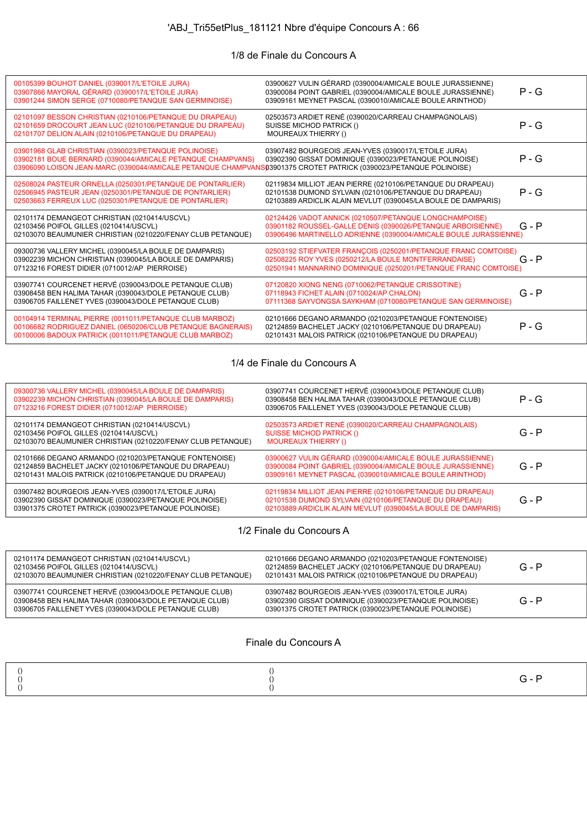# 'ABJ\_Tri55etPlus\_181121 Nbre d'équipe Concours A : 66

## 1/8 de Finale du Concours A

| 00105399 BOUHOT DANIEL (0390017/L'ETOILE JURA)<br>03907866 MAYORAL GÉRARD (0390017/L'ETOILE JURA)<br>03901244 SIMON SERGE (0710080/PETANQUE SAN GERMINOISE)                                                                             | 03900627 VULIN GÉRARD (0390004/AMICALE BOULE JURASSIENNE)<br>03900084 POINT GABRIEL (0390004/AMICALE BOULE JURASSIENNE)<br>03909161 MEYNET PASCAL (0390010/AMICALE BOULE ARINTHOD)        | $P - G$ |
|-----------------------------------------------------------------------------------------------------------------------------------------------------------------------------------------------------------------------------------------|-------------------------------------------------------------------------------------------------------------------------------------------------------------------------------------------|---------|
| 02101097 BESSON CHRISTIAN (0210106/PETANQUE DU DRAPEAU)<br>02101659 DROCOURT JEAN LUC (0210106/PETANQUE DU DRAPEAU)<br>02101707 DELION ALAIN (0210106/PETANQUE DU DRAPEAU)                                                              | 02503573 ARDIET RENÉ (0390020/CARREAU CHAMPAGNOLAIS)<br>SUISSE MICHOD PATRICK ()<br>MOUREAUX THIERRY ()                                                                                   | $P - G$ |
| 03901968 GLAB CHRISTIAN (0390023/PETANQUE POLINOISE)<br>03902181 BOUE BERNARD (0390044/AMICALE PETANQUE CHAMPVANS)<br>03906090 LOISON JEAN-MARC (0390044/AMICALE PETANQUE CHAMPVANS03901375 CROTET PATRICK (0390023/PETANQUE POLINOISE) | 03907482 BOURGEOIS JEAN-YVES (0390017/L'ETOILE JURA)<br>03902390 GISSAT DOMINIQUE (0390023/PETANQUE POLINOISE)                                                                            | $P - G$ |
| 02508024 PASTEUR ORNELLA (0250301/PETANQUE DE PONTARLIER)<br>02506945 PASTEUR JEAN (0250301/PETANQUE DE PONTARLIER)<br>02503663 FERREUX LUC (0250301/PETANQUE DE PONTARLIER)                                                            | 02119834 MILLIOT JEAN PIERRE (0210106/PETANQUE DU DRAPEAU)<br>02101538 DUMOND SYLVAIN (0210106/PETANQUE DU DRAPEAU)<br>02103889 ARDICLIK ALAIN MEVLUT (0390045/LA BOULE DE DAMPARIS)      | $P - G$ |
| 02101174 DEMANGEOT CHRISTIAN (0210414/USCVL)<br>02103456 POIFOL GILLES (0210414/USCVL)<br>02103070 BEAUMUNIER CHRISTIAN (0210220/FENAY CLUB PETANQUE)                                                                                   | 02124426 VADOT ANNICK (0210507/PETANQUE LONGCHAMPOISE)<br>03901182 ROUSSEL-GALLE DENIS (0390026/PETANQUE ARBOISIENNE)<br>03906496 MARTINELLO ADRIENNE (0390004/AMICALE BOULE JURASSIENNE) | $G - P$ |
| 09300736 VALLERY MICHEL (0390045/LA BOULE DE DAMPARIS)<br>03902239 MICHON CHRISTIAN (0390045/LA BOULE DE DAMPARIS)<br>07123216 FOREST DIDIER (0710012/AP PIERROISE)                                                                     | 02503192 STIEFVATER FRANÇOIS (0250201/PETANQUE FRANC COMTOISE)<br>02508225 ROY YVES (0250212/LA BOULE MONTFERRANDAISE)<br>02501941 MANNARINO DOMINIQUE (0250201/PETANQUE FRANC COMTOISE)  | $G - P$ |
| 03907741 COURCENET HERVÉ (0390043/DOLE PETANQUE CLUB)<br>03908458 BEN HALIMA TAHAR (0390043/DOLE PETANQUE CLUB)<br>03906705 FAILLENET YVES (0390043/DOLE PETANQUE CLUB)                                                                 | 07120820 XIONG NENG (0710062/PETANQUE CRISSOTINE)<br>07118943 FICHET ALAIN (0710024/AP CHALON)<br>07111368 SAYVONGSA SAYKHAM (0710080/PETANQUE SAN GERMINOISE)                            | $G - P$ |
| 00104914 TERMINAL PIERRE (0011011/PETANQUE CLUB MARBOZ)<br>00106682 RODRIGUEZ DANIEL (0650206/CLUB PETANQUE BAGNERAIS)<br>00100006 BADOUX PATRICK (0011011/PETANQUE CLUB MARBOZ)                                                        | 02101666 DEGANO ARMANDO (0210203/PETANQUE FONTENOISE)<br>02124859 BACHELET JACKY (0210106/PETANQUE DU DRAPEAU)<br>02101431 MALOIS PATRICK (0210106/PETANQUE DU DRAPEAU)                   | $P - G$ |

#### 1/4 de Finale du Concours A

| 09300736 VALLERY MICHEL (0390045/LA BOULE DE DAMPARIS)<br>03902239 MICHON CHRISTIAN (0390045/LA BOULE DE DAMPARIS)<br>07123216 FOREST DIDIER (0710012/AP PIERROISE)     | 03907741 COURCENET HERVÉ (0390043/DOLE PETANQUE CLUB)<br>03908458 BEN HALIMA TAHAR (0390043/DOLE PETANQUE CLUB)<br>03906705 FAILLENET YVES (0390043/DOLE PETANQUE CLUB)              | $P - G$ |
|-------------------------------------------------------------------------------------------------------------------------------------------------------------------------|--------------------------------------------------------------------------------------------------------------------------------------------------------------------------------------|---------|
| 02101174 DEMANGEOT CHRISTIAN (0210414/USCVL)<br>02103456 POIFOL GILLES (0210414/USCVL)<br>02103070 BEAUMUNIER CHRISTIAN (0210220/FENAY CLUB PETANQUE)                   | 02503573 ARDIET RENÉ (0390020/CARREAU CHAMPAGNOLAIS)<br><b>SUISSE MICHOD PATRICK ()</b><br><b>MOUREAUX THIERRY ()</b>                                                                | $G - P$ |
| 02101666 DEGANO ARMANDO (0210203/PETANQUE FONTENOISE)<br>02124859 BACHELET JACKY (0210106/PETANQUE DU DRAPEAU)<br>02101431 MALOIS PATRICK (0210106/PETANQUE DU DRAPEAU) | 03900627 VULIN GÉRARD (0390004/AMICALE BOULE JURASSIENNE)<br>03900084 POINT GABRIEL (0390004/AMICALE BOULE JURASSIENNE)<br>03909161 MEYNET PASCAL (0390010/AMICALE BOULE ARINTHOD)   | $G - P$ |
| 03907482 BOURGEOIS JEAN-YVES (0390017/L'ETOILE JURA)<br>03902390 GISSAT DOMINIQUE (0390023/PETANQUE POLINOISE)<br>03901375 CROTET PATRICK (0390023/PETANQUE POLINOISE)  | 02119834 MILLIOT JEAN PIERRE (0210106/PETANQUE DU DRAPEAU)<br>02101538 DUMOND SYLVAIN (0210106/PETANQUE DU DRAPEAU)<br>02103889 ARDICLIK ALAIN MEVLUT (0390045/LA BOULE DE DAMPARIS) | $G - P$ |

### 1/2 Finale du Concours A

| 02101174 DEMANGEOT CHRISTIAN (0210414/USCVL)<br>02103456 POIFOL GILLES (0210414/USCVL)<br>02103070 BEAUMUNIER CHRISTIAN (0210220/FENAY CLUB PETANQUE)                   | 02101666 DEGANO ARMANDO (0210203/PETANQUE FONTENOISE)<br>02124859 BACHELET JACKY (0210106/PETANQUE DU DRAPEAU)<br>02101431 MALOIS PATRICK (0210106/PETANQUE DU DRAPEAU) | $G - P$ |
|-------------------------------------------------------------------------------------------------------------------------------------------------------------------------|-------------------------------------------------------------------------------------------------------------------------------------------------------------------------|---------|
| 03907741 COURCENET HERVÉ (0390043/DOLE PETANQUE CLUB)<br>03908458 BEN HALIMA TAHAR (0390043/DOLE PETANQUE CLUB)<br>03906705 FAILLENET YVES (0390043/DOLE PETANQUE CLUB) | 03907482 BOURGEOIS JEAN-YVES (0390017/L'ETOILE JURA)<br>03902390 GISSAT DOMINIQUE (0390023/PETANQUE POLINOISE)<br>03901375 CROTET PATRICK (0390023/PETANQUE POLINOISE)  | $G - P$ |

#### Finale du Concours A

|--|--|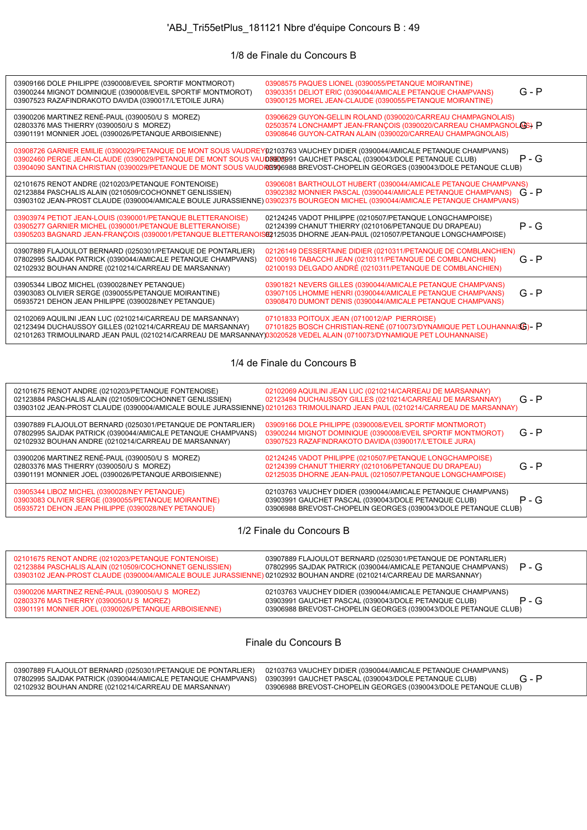# 'ABJ\_Tri55etPlus\_181121 Nbre d'équipe Concours B : 49

#### 1/8 de Finale du Concours B

| 03909166 DOLE PHILIPPE (0390008/EVEIL SPORTIF MONTMOROT)<br>03900244 MIGNOT DOMINIQUE (0390008/EVEIL SPORTIF MONTMOROT)<br>03907523 RAZAFINDRAKOTO DAVIDA (0390017/L'ETOILE JURA)                                                                | 03908575 PAQUES LIONEL (0390055/PETANQUE MOIRANTINE)<br>03903351 DELIOT ERIC (0390044/AMICALE PETANQUE CHAMPVANS)<br>03900125 MOREL JEAN-CLAUDE (0390055/PETANQUE MOIRANTINE)                                                                                   | $G - P$ |
|--------------------------------------------------------------------------------------------------------------------------------------------------------------------------------------------------------------------------------------------------|-----------------------------------------------------------------------------------------------------------------------------------------------------------------------------------------------------------------------------------------------------------------|---------|
| 03900206 MARTINEZ RENÉ-PAUL (0390050/U S MOREZ)<br>02803376 MAS THIERRY (0390050/U S MOREZ)<br>03901191 MONNIER JOEL (0390026/PETANQUE ARBOISIENNE)                                                                                              | 03906629 GUYON-GELLIN ROLAND (0390020/CARREAU CHAMPAGNOLAIS)<br>02503574 LONCHAMPT JEAN-FRANÇOIS (0390020/CARREAU CHAMPAGNOLOS) P<br>03908646 GUYON-CATRAN ALAIN (0390020/CARREAU CHAMPAGNOLAIS)                                                                |         |
| 03908726 GARNIER EMILIE (0390029/PETANQUE DE MONT SOUS VAUDREY02103763 VAUCHEY DIDIER (0390044/AMICALE PETANQUE CHAMPVANS)<br>03902460 PERGE JEAN-CLAUDE (0390029/PETANQUE DE MONT SOUS VAUD8908991 GAUCHET PASCAL (0390043/DOLE PETANQUE CLUB)  | 03904090 SANTINA CHRISTIAN (0390029/PETANQUE DE MONT SOUS VAUDRES 06988 BREVOST-CHOPELIN GEORGES (0390043/DOLE PETANQUE CLUB)                                                                                                                                   | P - G   |
| 02101675 RENOT ANDRE (0210203/PETANQUE FONTENOISE)<br>02123884 PASCHALIS ALAIN (0210509/COCHONNET GENLISSIEN)                                                                                                                                    | 03906081 BARTHOULOT HUBERT (0390044/AMICALE PETANQUE CHAMPVANS)<br>03902382 MONNIER PASCAL (0390044/AMICALE PETANQUE CHAMPVANS)<br>03903102 JEAN-PROST CLAUDE (0390004/AMICALE BOULE JURASSIENNE) 03902375 BOURGEON MICHEL (0390044/AMICALE PETANQUE CHAMPVANS) | $G - P$ |
| 03903974 PETIOT JEAN-LOUIS (0390001/PETANQUE BLETTERANOISE)<br>03905277 GARNIER MICHEL (0390001/PETANQUE BLETTERANOISE)<br>03905203 BAGNARD JEAN-FRANCOIS (0390001/PETANQUE BLETTERANC                                                           | 02124245 VADOT PHILIPPE (0210507/PETANQUE LONGCHAMPOISE)<br>02124399 CHANUT THIERRY (0210106/PETANQUE DU DRAPEAU)<br>ISE2125035 DHORNE JEAN-PAUL (0210507/PETANQUE LONGCHAMPOISE)                                                                               | $P - G$ |
| 03907889 FLAJOULOT BERNARD (0250301/PETANQUE DE PONTARLIER)<br>07802995 SAJDAK PATRICK (0390044/AMICALE PETANQUE CHAMPVANS)<br>02102932 BOUHAN ANDRE (0210214/CARREAU DE MARSANNAY)                                                              | 02126149 DESSERTAINE DIDIER (0210311/PETANQUE DE COMBLANCHIEN)<br>02100916 TABACCHI JEAN (0210311/PETANQUE DE COMBLANCHIEN)<br>02100193 DELGADO ANDRÉ (0210311/PETANQUE DE COMBLANCHIEN)                                                                        | $G - P$ |
| 03905344 LIBOZ MICHEL (0390028/NEY PETANQUE)<br>03903083 OLIVIER SERGE (0390055/PETANQUE MOIRANTINE)<br>05935721 DEHON JEAN PHILIPPE (0390028/NEY PETANQUE)                                                                                      | 03901821 NEVERS GILLES (0390044/AMICALE PETANQUE CHAMPVANS)<br>03907105 LHOMME HENRI (0390044/AMICALE PETANQUE CHAMPVANS)<br>03908470 DUMONT DENIS (0390044/AMICALE PETANQUE CHAMPVANS)                                                                         | $G - P$ |
| 02102069 AQUILINI JEAN LUC (0210214/CARREAU DE MARSANNAY)<br>02123494 DUCHAUSSOY GILLES (0210214/CARREAU DE MARSANNAY)<br>02101263 TRIMOULINARD JEAN PAUL (0210214/CARREAU DE MARSANNAY)03020528 VEDEL ALAIN (0710073/DYNAMIQUE PET LOUHANNAISE) | 07101833 POITOUX JEAN (0710012/AP PIERROISE)<br>07101825 BOSCH CHRISTIAN-RENÉ (0710073/DYNAMIQUE PET LOUHANNAISE)- P                                                                                                                                            |         |

#### 1/4 de Finale du Concours B

| 02101675 RENOT ANDRE (0210203/PETANQUE FONTENOISE)<br>02123884 PASCHALIS ALAIN (0210509/COCHONNET GENLISSIEN)                                                                       | 02102069 AQUILINI JEAN LUC (0210214/CARREAU DE MARSANNAY)<br>02123494 DUCHAUSSOY GILLES (0210214/CARREAU DE MARSANNAY)<br>03903102 JEAN-PROST CLAUDE (0390004/AMICALE BOULE JURASSIENNE) 02101263 TRIMOULINARD JEAN PAUL (0210214/CARREAU DE MARSANNAY) | $G - P$ |
|-------------------------------------------------------------------------------------------------------------------------------------------------------------------------------------|---------------------------------------------------------------------------------------------------------------------------------------------------------------------------------------------------------------------------------------------------------|---------|
| 03907889 FLAJOULOT BERNARD (0250301/PETANQUE DE PONTARLIER)<br>07802995 SAJDAK PATRICK (0390044/AMICALE PETANQUE CHAMPVANS)<br>02102932 BOUHAN ANDRE (0210214/CARREAU DE MARSANNAY) | 03909166 DOLE PHILIPPE (0390008/EVEIL SPORTIF MONTMOROT)<br>03900244 MIGNOT DOMINIQUE (0390008/EVEIL SPORTIF MONTMOROT)<br>03907523 RAZAFINDRAKOTO DAVIDA (0390017/L'ETOILE JURA)                                                                       | $G - P$ |
| 03900206 MARTINEZ RENÉ-PAUL (0390050/U S MOREZ)<br>02803376 MAS THIERRY (0390050/U S MOREZ)<br>03901191 MONNIER JOEL (0390026/PETANQUE ARBOISIENNE)                                 | 02124245 VADOT PHILIPPE (0210507/PETANQUE LONGCHAMPOISE)<br>02124399 CHANUT THIERRY (0210106/PETANQUE DU DRAPEAU)<br>02125035 DHORNE JEAN-PAUL (0210507/PETANQUE LONGCHAMPOISE)                                                                         | $G - P$ |
| 03905344 LIBOZ MICHEL (0390028/NEY PETANQUE)<br>03903083 OLIVIER SERGE (0390055/PETANQUE MOIRANTINE)<br>05935721 DEHON JEAN PHILIPPE (0390028/NEY PETANQUE)                         | 02103763 VAUCHEY DIDIER (0390044/AMICALE PETANQUE CHAMPVANS)<br>03903991 GAUCHET PASCAL (0390043/DOLE PETANQUE CLUB)<br>03906988 BREVOST-CHOPELIN GEORGES (0390043/DOLE PETANQUE CLUB)                                                                  | $P - G$ |

1/2 Finale du Concours B

| 02101675 RENOT ANDRE (0210203/PETANQUE FONTENOISE)<br>02123884 PASCHALIS ALAIN (0210509/COCHONNET GENLISSIEN)<br>03903102 JEAN-PROST CLAUDE (0390004/AMICALE BOULE JURASSIENNE) 02102932 BOUHAN ANDRE (0210214/CARREAU DE MARSANNAY) | 03907889 FLAJOULOT BERNARD (0250301/PETANQUE DE PONTARLIER)<br>07802995 SAJDAK PATRICK (0390044/AMICALE PETANQUE CHAMPVANS)                                                            | $P - G$ |
|--------------------------------------------------------------------------------------------------------------------------------------------------------------------------------------------------------------------------------------|----------------------------------------------------------------------------------------------------------------------------------------------------------------------------------------|---------|
| 03900206 MARTINEZ RENÉ-PAUL (0390050/U S MOREZ)<br>02803376 MAS THIERRY (0390050/U S MOREZ)<br>03901191 MONNIER JOEL (0390026/PETANQUE ARBOISIENNE)                                                                                  | 02103763 VAUCHEY DIDIER (0390044/AMICALE PETANQUE CHAMPVANS)<br>03903991 GAUCHET PASCAL (0390043/DOLE PETANQUE CLUB)<br>03906988 BREVOST-CHOPELIN GEORGES (0390043/DOLE PETANQUE CLUB) | P - G   |

Finale du Concours B

| 03907889 FLAJOULOT BERNARD (0250301/PETANQUE DE PONTARLIER)<br>07802995 SAJDAK PATRICK (0390044/AMICALE PETANQUE CHAMPVANS) | 02103763 VAUCHEY DIDIER (0390044/AMICALE PETANQUE CHAMPVANS)<br>03903991 GAUCHET PASCAL (0390043/DOLE PETANQUE CLUB) |  |
|-----------------------------------------------------------------------------------------------------------------------------|----------------------------------------------------------------------------------------------------------------------|--|
| 02102932 BOUHAN ANDRE (0210214/CARREAU DE MARSANNAY)                                                                        | 03906988 BREVOST-CHOPELIN GEORGES (0390043/DOLE PETANQUE CLUB)                                                       |  |